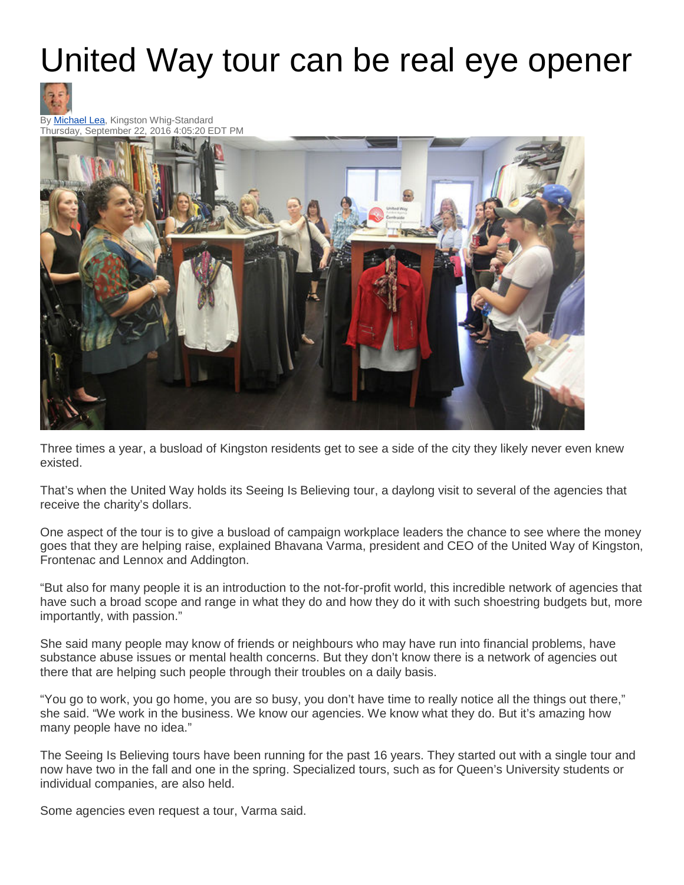## United Way tour can be real eye opener



By [Michael Lea,](http://www.thewhig.com/author/michael-lea) Kingston Whig-Standard Thursday, September 22, 2016 4:05:20 EDT PM



Three times a year, a busload of Kingston residents get to see a side of the city they likely never even knew existed.

That's when the United Way holds its Seeing Is Believing tour, a daylong visit to several of the agencies that receive the charity's dollars.

One aspect of the tour is to give a busload of campaign workplace leaders the chance to see where the money goes that they are helping raise, explained Bhavana Varma, president and CEO of the United Way of Kingston, Frontenac and Lennox and Addington.

"But also for many people it is an introduction to the not-for-profit world, this incredible network of agencies that have such a broad scope and range in what they do and how they do it with such shoestring budgets but, more importantly, with passion."

She said many people may know of friends or neighbours who may have run into financial problems, have substance abuse issues or mental health concerns. But they don't know there is a network of agencies out there that are helping such people through their troubles on a daily basis.

"You go to work, you go home, you are so busy, you don't have time to really notice all the things out there," she said. "We work in the business. We know our agencies. We know what they do. But it's amazing how many people have no idea."

The Seeing Is Believing tours have been running for the past 16 years. They started out with a single tour and now have two in the fall and one in the spring. Specialized tours, such as for Queen's University students or individual companies, are also held.

Some agencies even request a tour, Varma said.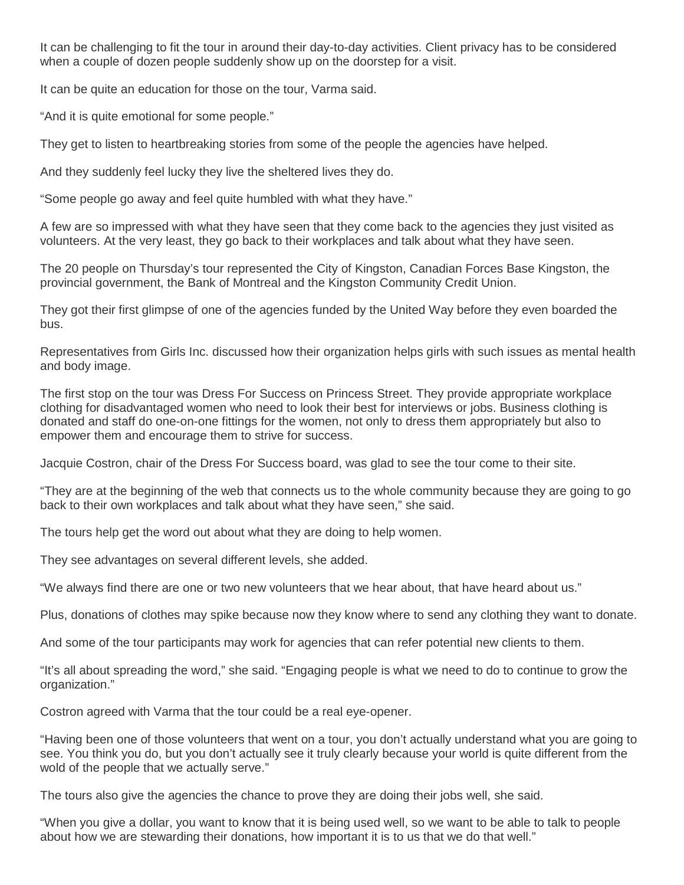It can be challenging to fit the tour in around their day-to-day activities. Client privacy has to be considered when a couple of dozen people suddenly show up on the doorstep for a visit.

It can be quite an education for those on the tour, Varma said.

"And it is quite emotional for some people."

They get to listen to heartbreaking stories from some of the people the agencies have helped.

And they suddenly feel lucky they live the sheltered lives they do.

"Some people go away and feel quite humbled with what they have."

A few are so impressed with what they have seen that they come back to the agencies they just visited as volunteers. At the very least, they go back to their workplaces and talk about what they have seen.

The 20 people on Thursday's tour represented the City of Kingston, Canadian Forces Base Kingston, the provincial government, the Bank of Montreal and the Kingston Community Credit Union.

They got their first glimpse of one of the agencies funded by the United Way before they even boarded the bus.

Representatives from Girls Inc. discussed how their organization helps girls with such issues as mental health and body image.

The first stop on the tour was Dress For Success on Princess Street. They provide appropriate workplace clothing for disadvantaged women who need to look their best for interviews or jobs. Business clothing is donated and staff do one-on-one fittings for the women, not only to dress them appropriately but also to empower them and encourage them to strive for success.

Jacquie Costron, chair of the Dress For Success board, was glad to see the tour come to their site.

"They are at the beginning of the web that connects us to the whole community because they are going to go back to their own workplaces and talk about what they have seen," she said.

The tours help get the word out about what they are doing to help women.

They see advantages on several different levels, she added.

"We always find there are one or two new volunteers that we hear about, that have heard about us."

Plus, donations of clothes may spike because now they know where to send any clothing they want to donate.

And some of the tour participants may work for agencies that can refer potential new clients to them.

"It's all about spreading the word," she said. "Engaging people is what we need to do to continue to grow the organization."

Costron agreed with Varma that the tour could be a real eye-opener.

"Having been one of those volunteers that went on a tour, you don't actually understand what you are going to see. You think you do, but you don't actually see it truly clearly because your world is quite different from the wold of the people that we actually serve."

The tours also give the agencies the chance to prove they are doing their jobs well, she said.

"When you give a dollar, you want to know that it is being used well, so we want to be able to talk to people about how we are stewarding their donations, how important it is to us that we do that well."